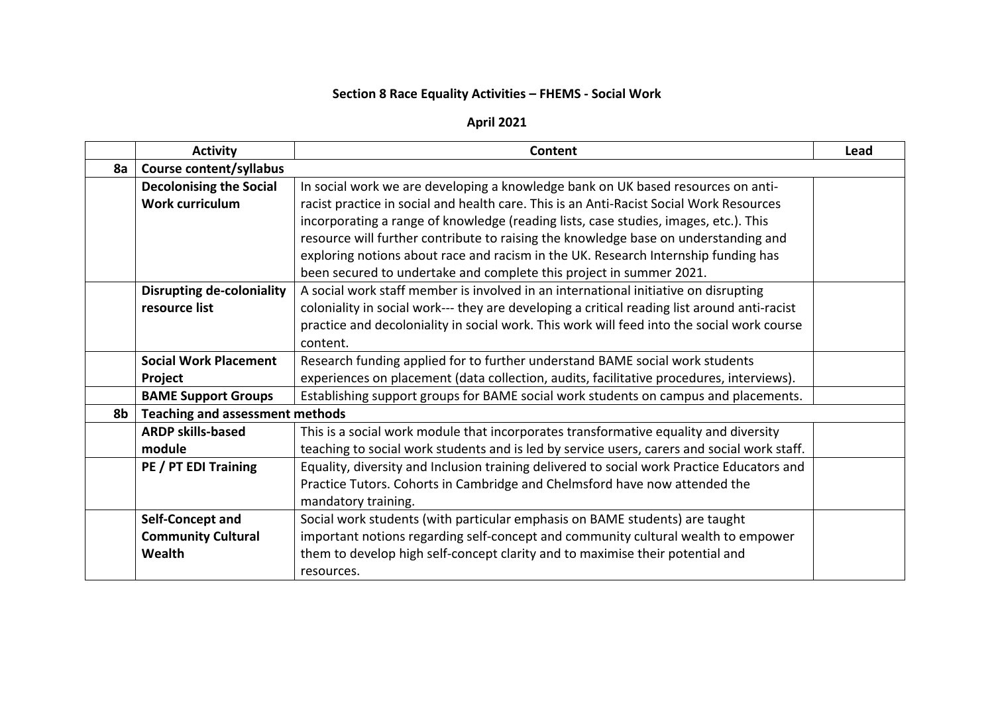## **Section 8 Race Equality Activities – FHEMS - Social Work**

## **April 2021**

|    | <b>Activity</b>                        | Content                                                                                      | Lead |
|----|----------------------------------------|----------------------------------------------------------------------------------------------|------|
| 8a | Course content/syllabus                |                                                                                              |      |
|    | <b>Decolonising the Social</b>         | In social work we are developing a knowledge bank on UK based resources on anti-             |      |
|    | <b>Work curriculum</b>                 | racist practice in social and health care. This is an Anti-Racist Social Work Resources      |      |
|    |                                        | incorporating a range of knowledge (reading lists, case studies, images, etc.). This         |      |
|    |                                        | resource will further contribute to raising the knowledge base on understanding and          |      |
|    |                                        | exploring notions about race and racism in the UK. Research Internship funding has           |      |
|    |                                        | been secured to undertake and complete this project in summer 2021.                          |      |
|    | <b>Disrupting de-coloniality</b>       | A social work staff member is involved in an international initiative on disrupting          |      |
|    | resource list                          | coloniality in social work--- they are developing a critical reading list around anti-racist |      |
|    |                                        | practice and decoloniality in social work. This work will feed into the social work course   |      |
|    |                                        | content.                                                                                     |      |
|    | <b>Social Work Placement</b>           | Research funding applied for to further understand BAME social work students                 |      |
|    | Project                                | experiences on placement (data collection, audits, facilitative procedures, interviews).     |      |
|    | <b>BAME Support Groups</b>             | Establishing support groups for BAME social work students on campus and placements.          |      |
| 8b | <b>Teaching and assessment methods</b> |                                                                                              |      |
|    | <b>ARDP skills-based</b>               | This is a social work module that incorporates transformative equality and diversity         |      |
|    | module                                 | teaching to social work students and is led by service users, carers and social work staff.  |      |
|    | PE / PT EDI Training                   | Equality, diversity and Inclusion training delivered to social work Practice Educators and   |      |
|    |                                        | Practice Tutors. Cohorts in Cambridge and Chelmsford have now attended the                   |      |
|    |                                        | mandatory training.                                                                          |      |
|    | <b>Self-Concept and</b>                | Social work students (with particular emphasis on BAME students) are taught                  |      |
|    | <b>Community Cultural</b>              | important notions regarding self-concept and community cultural wealth to empower            |      |
|    | Wealth                                 | them to develop high self-concept clarity and to maximise their potential and                |      |
|    |                                        | resources.                                                                                   |      |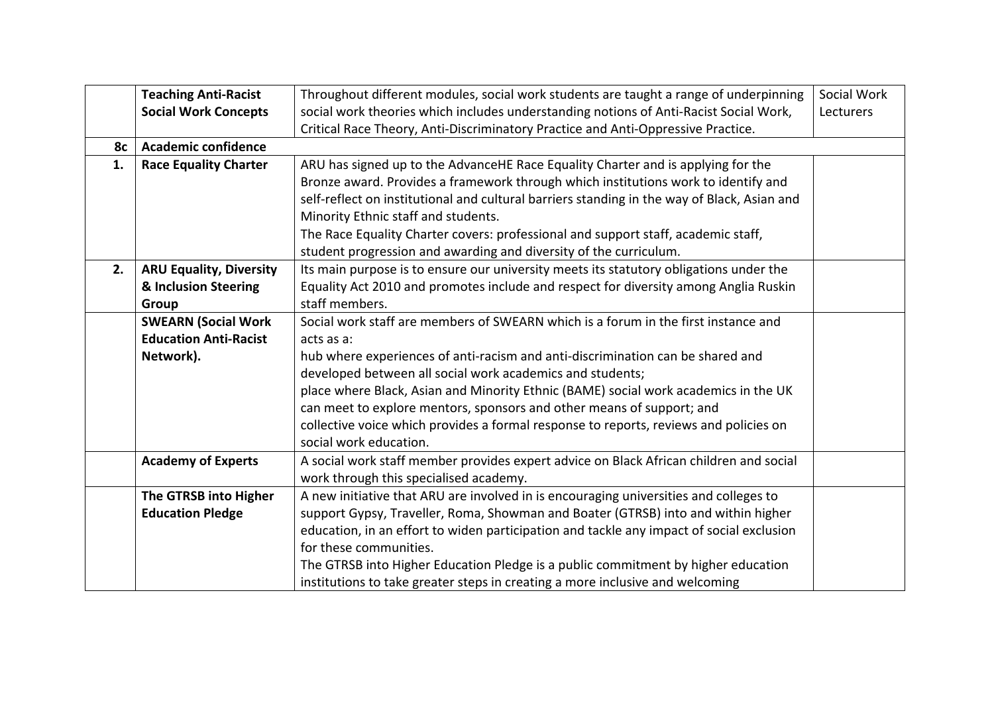|    | <b>Teaching Anti-Racist</b>    | Throughout different modules, social work students are taught a range of underpinning       | Social Work |
|----|--------------------------------|---------------------------------------------------------------------------------------------|-------------|
|    | <b>Social Work Concepts</b>    | social work theories which includes understanding notions of Anti-Racist Social Work,       | Lecturers   |
|    |                                | Critical Race Theory, Anti-Discriminatory Practice and Anti-Oppressive Practice.            |             |
| 8c | Academic confidence            |                                                                                             |             |
| 1. | <b>Race Equality Charter</b>   | ARU has signed up to the AdvanceHE Race Equality Charter and is applying for the            |             |
|    |                                | Bronze award. Provides a framework through which institutions work to identify and          |             |
|    |                                | self-reflect on institutional and cultural barriers standing in the way of Black, Asian and |             |
|    |                                | Minority Ethnic staff and students.                                                         |             |
|    |                                | The Race Equality Charter covers: professional and support staff, academic staff,           |             |
|    |                                | student progression and awarding and diversity of the curriculum.                           |             |
| 2. | <b>ARU Equality, Diversity</b> | Its main purpose is to ensure our university meets its statutory obligations under the      |             |
|    | & Inclusion Steering           | Equality Act 2010 and promotes include and respect for diversity among Anglia Ruskin        |             |
|    | Group                          | staff members.                                                                              |             |
|    | <b>SWEARN (Social Work</b>     | Social work staff are members of SWEARN which is a forum in the first instance and          |             |
|    | <b>Education Anti-Racist</b>   | acts as a:                                                                                  |             |
|    | Network).                      | hub where experiences of anti-racism and anti-discrimination can be shared and              |             |
|    |                                | developed between all social work academics and students;                                   |             |
|    |                                | place where Black, Asian and Minority Ethnic (BAME) social work academics in the UK         |             |
|    |                                | can meet to explore mentors, sponsors and other means of support; and                       |             |
|    |                                | collective voice which provides a formal response to reports, reviews and policies on       |             |
|    |                                | social work education.                                                                      |             |
|    | <b>Academy of Experts</b>      | A social work staff member provides expert advice on Black African children and social      |             |
|    |                                | work through this specialised academy.                                                      |             |
|    | The GTRSB into Higher          | A new initiative that ARU are involved in is encouraging universities and colleges to       |             |
|    | <b>Education Pledge</b>        | support Gypsy, Traveller, Roma, Showman and Boater (GTRSB) into and within higher           |             |
|    |                                | education, in an effort to widen participation and tackle any impact of social exclusion    |             |
|    |                                | for these communities.                                                                      |             |
|    |                                | The GTRSB into Higher Education Pledge is a public commitment by higher education           |             |
|    |                                | institutions to take greater steps in creating a more inclusive and welcoming               |             |